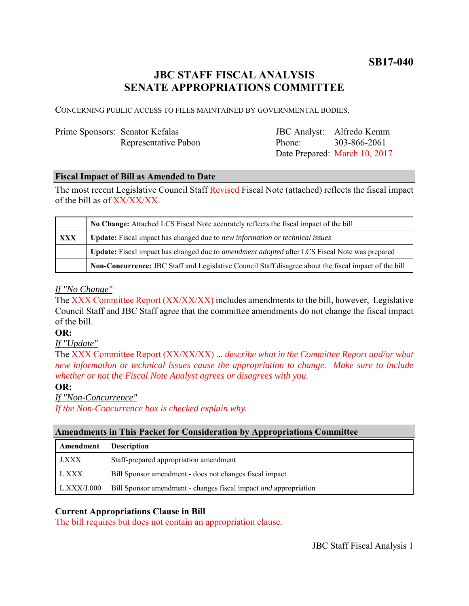**SB17-040**

# **JBC STAFF FISCAL ANALYSIS SENATE APPROPRIATIONS COMMITTEE**

CONCERNING PUBLIC ACCESS TO FILES MAINTAINED BY GOVERNMENTAL BODIES.

| Prime Sponsors: Senator Kefalas |                      |
|---------------------------------|----------------------|
|                                 | Representative Pabon |

JBC Analyst: Alfredo Kemm Phone: Date Prepared: March 10, 2017 303-866-2061

#### **Fiscal Impact of Bill as Amended to Date**

The most recent Legislative Council Staff Revised Fiscal Note (attached) reflects the fiscal impact of the bill as of XX/XX/XX.

|            | No Change: Attached LCS Fiscal Note accurately reflects the fiscal impact of the bill                 |
|------------|-------------------------------------------------------------------------------------------------------|
| <b>XXX</b> | Update: Fiscal impact has changed due to new information or technical issues                          |
|            | Update: Fiscal impact has changed due to <i>amendment adopted</i> after LCS Fiscal Note was prepared  |
|            | Non-Concurrence: JBC Staff and Legislative Council Staff disagree about the fiscal impact of the bill |

#### *If "No Change"*

The XXX Committee Report (XX/XX/XX) includes amendments to the bill, however, Legislative Council Staff and JBC Staff agree that the committee amendments do not change the fiscal impact of the bill.

#### **OR:**

*If "Update"*

The XXX Committee Report (XX/XX/XX) ... *describe what in the Committee Report and/or what new information or technical issues cause the appropriation to change. Make sure to include whether or not the Fiscal Note Analyst agrees or disagrees with you.*

#### **OR:**

*If "Non-Concurrence"*

*If the Non-Concurrence box is checked explain why.* 

#### **Amendments in This Packet for Consideration by Appropriations Committee**

| Amendment   | <b>Description</b>                                                      |
|-------------|-------------------------------------------------------------------------|
| LXXX        | Staff-prepared appropriation amendment                                  |
| L.XXX       | Bill Sponsor amendment - does not changes fiscal impact                 |
| LLXXX/J.000 | Bill Sponsor amendment - changes fiscal impact <i>and</i> appropriation |

#### **Current Appropriations Clause in Bill**

The bill requires but does not contain an appropriation clause.